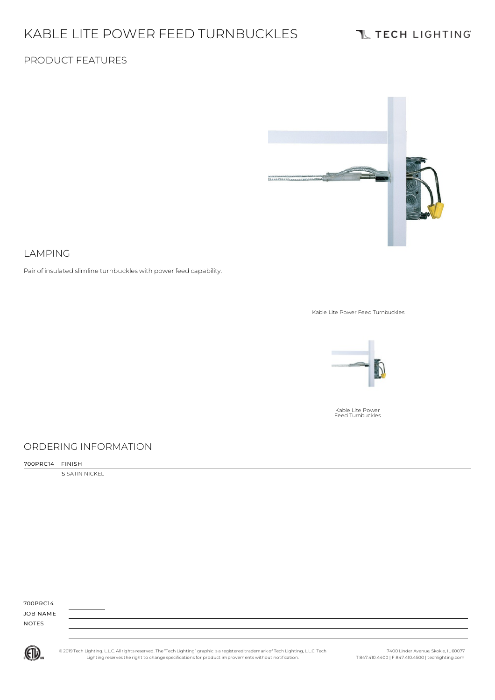# KABLE LITE POWER FEED TURNBUCKLES

# **TL TECH LIGHTING**

### PRODUCT FEATURES



#### LAMPING

Pair of insulated slimline turnbuckles with power feed capability.

Kable Lite Power Feed Turnbuckles



Kable Lite Power Feed Turnbuckles

### ORDERING INFORMATION

700PRC14 FINISH

**S** SATIN NICKEL

| 700PRC14     |  |  |  |
|--------------|--|--|--|
| JOB NAME     |  |  |  |
| <b>NOTES</b> |  |  |  |
|              |  |  |  |



© 2019 Tech Lighting, L.L.C. All rightsreserved. The "Tech Lighting" graphicis a registered trademark of Tech Lighting, L.L.C. Tech Lighting reservesthe right to change specificationsfor product improvements without notification.